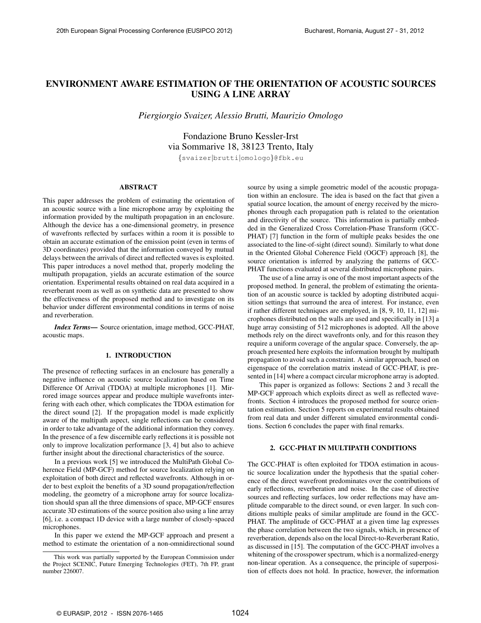# **ENVIRONMENT AWARE ESTIMATION OF THE ORIENTATION OF ACOUSTIC SOURCES USING A LINE ARRAY**

*Piergiorgio Svaizer, Alessio Brutti, Maurizio Omologo*

Fondazione Bruno Kessler-Irst via Sommarive 18, 38123 Trento, Italy

{svaizer|brutti|omologo}@fbk.eu

# **ABSTRACT**

This paper addresses the problem of estimating the orientation of an acoustic source with a line microphone array by exploiting the information provided by the multipath propagation in an enclosure. Although the device has a one-dimensional geometry, in presence of wavefronts reflected by surfaces within a room it is possible to obtain an accurate estimation of the emission point (even in terms of 3D coordinates) provided that the information conveyed by mutual delays between the arrivals of direct and reflected waves is exploited. This paper introduces a novel method that, properly modeling the multipath propagation, yields an accurate estimation of the source orientation. Experimental results obtained on real data acquired in a reverberant room as well as on synthetic data are presented to show the effectiveness of the proposed method and to investigate on its behavior under different environmental conditions in terms of noise and reverberation.

*Index Terms***—** Source orientation, image method, GCC-PHAT, acoustic maps.

# **1. INTRODUCTION**

The presence of reflecting surfaces in an enclosure has generally a negative influence on acoustic source localization based on Time Difference Of Arrival (TDOA) at multiple microphones [1]. Mirrored image sources appear and produce multiple wavefronts interfering with each other, which complicates the TDOA estimation for the direct sound [2]. If the propagation model is made explicitly aware of the multipath aspect, single reflections can be considered in order to take advantage of the additional information they convey. In the presence of a few discernible early reflections it is possible not only to improve localization performance [3, 4] but also to achieve further insight about the directional characteristics of the source.

In a previous work [5] we introduced the MultiPath Global Coherence Field (MP-GCF) method for source localization relying on exploitation of both direct and reflected wavefronts. Although in order to best exploit the benefits of a 3D sound propagation/reflection modeling, the geometry of a microphone array for source localization should span all the three dimensions of space, MP-GCF ensures accurate 3D estimations of the source position also using a line array [6], i.e. a compact 1D device with a large number of closely-spaced microphones.

In this paper we extend the MP-GCF approach and present a method to estimate the orientation of a non-omnidirectional sound source by using a simple geometric model of the acoustic propagation within an enclosure. The idea is based on the fact that given a spatial source location, the amount of energy received by the microphones through each propagation path is related to the orientation and directivity of the source. This information is partially embedded in the Generalized Cross Correlation-Phase Transform (GCC-PHAT) [7] function in the form of multiple peaks besides the one associated to the line-of-sight (direct sound). Similarly to what done in the Oriented Global Coherence Field (OGCF) approach [8], the source orientation is inferred by analyzing the patterns of GCC-PHAT functions evaluated at several distributed microphone pairs.

The use of a line array is one of the most important aspects of the proposed method. In general, the problem of estimating the orientation of an acoustic source is tackled by adopting distributed acquisition settings that surround the area of interest. For instance, even if rather different techniques are employed, in [8, 9, 10, 11, 12] microphones distributed on the walls are used and specifically in [13] a huge array consisting of 512 microphones is adopted. All the above methods rely on the direct wavefronts only, and for this reason they require a uniform coverage of the angular space. Conversely, the approach presented here exploits the information brought by multipath propagation to avoid such a constraint. A similar approach, based on eigenspace of the correlation matrix instead of GCC-PHAT, is presented in [14] where a compact circular microphone array is adopted.

This paper is organized as follows: Sections 2 and 3 recall the MP-GCF approach which exploits direct as well as reflected wavefronts. Section 4 introduces the proposed method for source orientation estimation. Section 5 reports on experimental results obtained from real data and under different simulated environmental conditions. Section 6 concludes the paper with final remarks.

## **2. GCC-PHAT IN MULTIPATH CONDITIONS**

The GCC-PHAT is often exploited for TDOA estimation in acoustic source localization under the hypothesis that the spatial coherence of the direct wavefront predominates over the contributions of early reflections, reverberation and noise. In the case of directive sources and reflecting surfaces, low order reflections may have amplitude comparable to the direct sound, or even larger. In such conditions multiple peaks of similar amplitude are found in the GCC-PHAT. The amplitude of GCC-PHAT at a given time lag expresses the phase correlation between the two signals, which, in presence of reverberation, depends also on the local Direct-to-Reverberant Ratio, as discussed in [15]. The computation of the GCC-PHAT involves a whitening of the crosspower spectrum, which is a normalized-energy non-linear operation. As a consequence, the principle of superposition of effects does not hold. In practice, however, the information

This work was partially supported by the European Commission under the Project SCENIC, Future Emerging Technologies (FET), 7th FP, grant number 226007.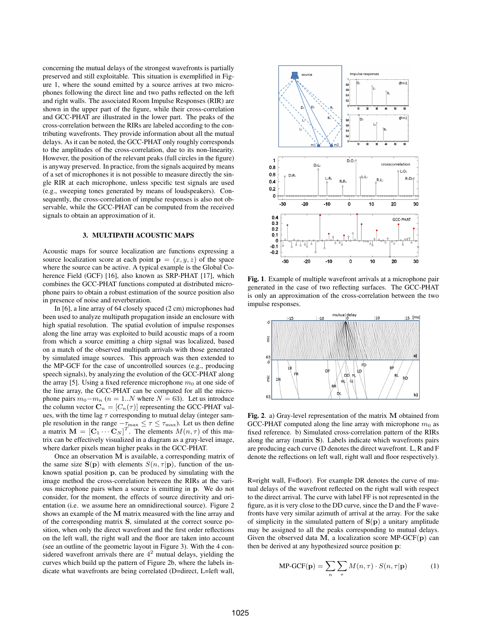concerning the mutual delays of the strongest wavefronts is partially preserved and still exploitable. This situation is exemplified in Figure 1, where the sound emitted by a source arrives at two microphones following the direct line and two paths reflected on the left and right walls. The associated Room Impulse Responses (RIR) are shown in the upper part of the figure, while their cross-correlation and GCC-PHAT are illustrated in the lower part. The peaks of the cross-correlation between the RIRs are labeled according to the contributing wavefronts. They provide information about all the mutual delays. As it can be noted, the GCC-PHAT only roughly corresponds to the amplitudes of the cross-correlation, due to its non-linearity. However, the position of the relevant peaks (full circles in the figure) is anyway preserved. In practice, from the signals acquired by means of a set of microphones it is not possible to measure directly the single RIR at each microphone, unless specific test signals are used (e.g., sweeping tones generated by means of loudspeakers). Consequently, the cross-correlation of impulse responses is also not observable, while the GCC-PHAT can be computed from the received signals to obtain an approximation of it.

# **3. MULTIPATH ACOUSTIC MAPS**

Acoustic maps for source localization are functions expressing a source localization score at each point  $\mathbf{p} = (x, y, z)$  of the space where the source can be active. A typical example is the Global Coherence Field (GCF) [16], also known as SRP-PHAT [17], which combines the GCC-PHAT functions computed at distributed microphone pairs to obtain a robust estimation of the source position also in presence of noise and reverberation.

In [6], a line array of 64 closely spaced (2 cm) microphones had been used to analyze multipath propagation inside an enclosure with high spatial resolution. The spatial evolution of impulse responses along the line array was exploited to build acoustic maps of a room from which a source emitting a chirp signal was localized, based on a match of the observed multipath arrivals with those generated by simulated image sources. This approach was then extended to the MP-GCF for the case of uncontrolled sources (e.g., producing speech signals), by analyzing the evolution of the GCC-PHAT along the array [5]. Using a fixed reference microphone  $m_0$  at one side of the line array, the GCC-PHAT can be computed for all the microphone pairs  $m_0 - m_n$  ( $n = 1..N$  where  $N = 63$ ). Let us introduce the column vector  $\mathbf{C}_n = [C_n(\tau)]$  representing the GCC-PHAT values, with the time lag  $\tau$  corresponding to mutual delay (integer sample resolution in the range  $-\tau_{\text{max}} \leq \tau \leq \tau_{\text{max}}$ ). Let us then define a matrix  $\mathbf{M} = \begin{bmatrix} \mathbf{C}_1 \cdots \mathbf{C}_N \end{bmatrix}^T$ . The elements  $M(n, \tau)$  of this matrix can be effectively visualized in a diagram as a gray-level image, where darker pixels mean higher peaks in the GCC-PHAT.

Once an observation M is available, a corresponding matrix of the same size  $S(p)$  with elements  $S(n, \tau | p)$ , function of the unknown spatial position p, can be produced by simulating with the image method the cross-correlation between the RIRs at the various microphone pairs when a source is emitting in p. We do not consider, for the moment, the effects of source directivity and orientation (i.e. we assume here an omnidirectional source). Figure 2 shows an example of the M matrix measured with the line array and of the corresponding matrix S, simulated at the correct source position, when only the direct wavefront and the first order reflections on the left wall, the right wall and the floor are taken into account (see an outline of the geometric layout in Figure 3). With the 4 considered wavefront arrivals there are  $4<sup>2</sup>$  mutual delays, yielding the curves which build up the pattern of Figure 2b, where the labels indicate what wavefronts are being correlated (D=direct, L=left wall,



**Fig. 1**. Example of multiple wavefront arrivals at a microphone pair generated in the case of two reflecting surfaces. The GCC-PHAT is only an approximation of the cross-correlation between the two impulse responses.



**Fig. 2**. a) Gray-level representation of the matrix M obtained from GCC-PHAT computed along the line array with microphone  $m_0$  as fixed reference. b) Simulated cross-correlation pattern of the RIRs along the array (matrix S). Labels indicate which wavefronts pairs are producing each curve (D denotes the direct wavefront. L, R and F denote the reflections on left wall, right wall and floor respectively).

R=right wall, F=floor). For example DR denotes the curve of mutual delays of the wavefront reflected on the right wall with respect to the direct arrival. The curve with label FF is not represented in the figure, as it is very close to the DD curve, since the D and the F wavefronts have very similar azimuth of arrival at the array. For the sake of simplicity in the simulated pattern of  $S(p)$  a unitary amplitude may be assigned to all the peaks corresponding to mutual delays. Given the observed data M, a localization score MP-GCF( $\mathbf{p}$ ) can then be derived at any hypothesized source position p:

$$
MP\text{-}\mathsf{GCF}(\mathbf{p}) = \sum_{n} \sum_{\tau} M(n, \tau) \cdot S(n, \tau | \mathbf{p}) \tag{1}
$$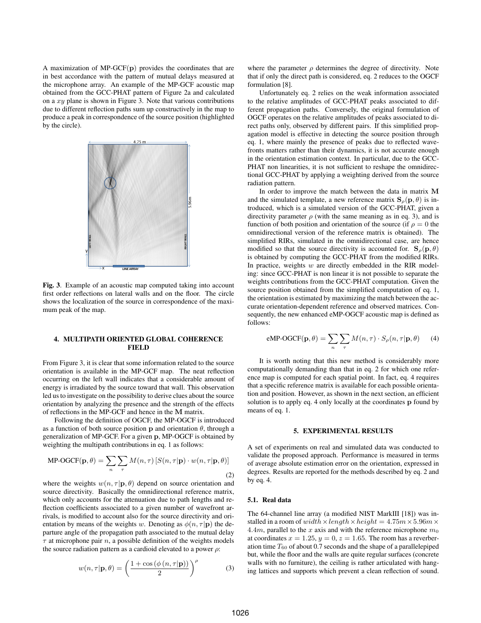A maximization of MP-GCF $(p)$  provides the coordinates that are in best accordance with the pattern of mutual delays measured at the microphone array. An example of the MP-GCF acoustic map obtained from the GCC-PHAT pattern of Figure 2a and calculated on a  $xy$  plane is shown in Figure 3. Note that various contributions due to different reflection paths sum up constructively in the map to produce a peak in correspondence of the source position (highlighted by the circle).



**Fig. 3**. Example of an acoustic map computed taking into account first order reflections on lateral walls and on the floor. The circle shows the localization of the source in correspondence of the maximum peak of the map.

## **4. MULTIPATH ORIENTED GLOBAL COHERENCE FIELD**

From Figure 3, it is clear that some information related to the source orientation is available in the MP-GCF map. The neat reflection occurring on the left wall indicates that a considerable amount of energy is irradiated by the source toward that wall. This observation led us to investigate on the possibility to derive clues about the source orientation by analyzing the presence and the strength of the effects of reflections in the MP-GCF and hence in the M matrix.

Following the definition of OGCF, the MP-OGCF is introduced as a function of both source position **p** and orientation  $\theta$ , through a generalization of MP-GCF. For a given p, MP-OGCF is obtained by weighting the multipath contributions in eq. 1 as follows:

$$
\text{MP-OGCF}(\mathbf{p}, \theta) = \sum_{n} \sum_{\tau} M(n, \tau) \left[ S(n, \tau | \mathbf{p}) \cdot w(n, \tau | \mathbf{p}, \theta) \right]
$$
\n(2)

where the weights  $w(n, \tau | \mathbf{p}, \theta)$  depend on source orientation and source directivity. Basically the omnidirectional reference matrix, which only accounts for the attenuation due to path lengths and reflection coefficients associated to a given number of wavefront arrivals, is modified to account also for the source directivity and orientation by means of the weights w. Denoting as  $\phi(n, \tau | \mathbf{p})$  the departure angle of the propagation path associated to the mutual delay  $\tau$  at microphone pair n, a possible definition of the weights models the source radiation pattern as a cardioid elevated to a power  $\rho$ :

$$
w(n, \tau | \mathbf{p}, \theta) = \left(\frac{1 + \cos(\phi(n, \tau | \mathbf{p}))}{2}\right)^{\rho}
$$
(3)

where the parameter  $\rho$  determines the degree of directivity. Note that if only the direct path is considered, eq. 2 reduces to the OGCF formulation [8].

Unfortunately eq. 2 relies on the weak information associated to the relative amplitudes of GCC-PHAT peaks associated to different propagation paths. Conversely, the original formulation of OGCF operates on the relative amplitudes of peaks associated to direct paths only, observed by different pairs. If this simplified propagation model is effective in detecting the source position through eq. 1, where mainly the presence of peaks due to reflected wavefronts matters rather than their dynamics, it is not accurate enough in the orientation estimation context. In particular, due to the GCC-PHAT non linearities, it is not sufficient to reshape the omnidirectional GCC-PHAT by applying a weighting derived from the source radiation pattern.

In order to improve the match between the data in matrix M and the simulated template, a new reference matrix  $S_{\rho}(\mathbf{p}, \theta)$  is introduced, which is a simulated version of the GCC-PHAT, given a directivity parameter  $\rho$  (with the same meaning as in eq. 3), and is function of both position and orientation of the source (if  $\rho = 0$  the omnidirectional version of the reference matrix is obtained). The simplified RIRs, simulated in the omnidirectional case, are hence modified so that the source directivity is accounted for.  $S_{\rho}(\mathbf{p}, \theta)$ is obtained by computing the GCC-PHAT from the modified RIRs. In practice, weights  $w$  are directly embedded in the RIR modeling: since GCC-PHAT is non linear it is not possible to separate the weights contributions from the GCC-PHAT computation. Given the source position obtained from the simplified computation of eq. 1, the orientation is estimated by maximizing the match between the accurate orientation-dependent reference and observed matrices. Consequently, the new enhanced eMP-OGCF acoustic map is defined as follows:

eMP-OGCF
$$
(\mathbf{p}, \theta)
$$
 =  $\sum_{n} \sum_{\tau} M(n, \tau) \cdot S_{\rho}(n, \tau | \mathbf{p}, \theta)$  (4)

It is worth noting that this new method is considerably more computationally demanding than that in eq. 2 for which one reference map is computed for each spatial point. In fact, eq. 4 requires that a specific reference matrix is available for each possible orientation and position. However, as shown in the next section, an efficient solution is to apply eq. 4 only locally at the coordinates p found by means of eq. 1.

#### **5. EXPERIMENTAL RESULTS**

A set of experiments on real and simulated data was conducted to validate the proposed approach. Performance is measured in terms of average absolute estimation error on the orientation, expressed in degrees. Results are reported for the methods described by eq. 2 and by eq. 4.

#### **5.1. Real data**

The 64-channel line array (a modified NIST MarkIII [18]) was installed in a room of width  $\times$  length  $\times$  height = 4.75m  $\times$  5.96m  $\times$ 4.4m, parallel to the x axis and with the reference microphone  $m_0$ at coordinates  $x = 1.25$ ,  $y = 0$ ,  $z = 1.65$ . The room has a reverberation time  $T_{60}$  of about 0.7 seconds and the shape of a parallelepiped but, while the floor and the walls are quite regular surfaces (concrete walls with no furniture), the ceiling is rather articulated with hanging lattices and supports which prevent a clean reflection of sound.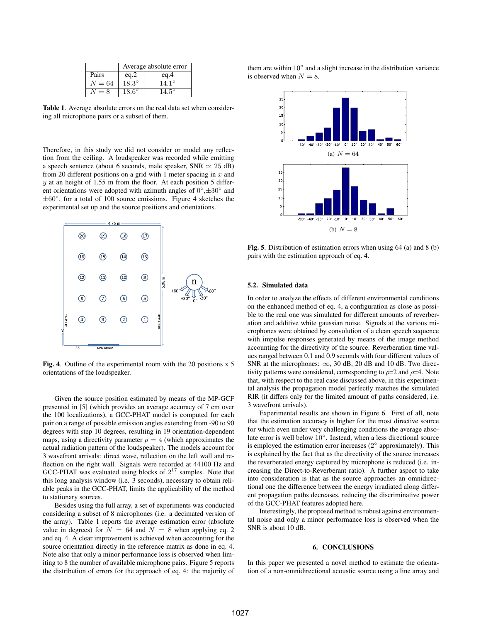|        | Average absolute error |                |
|--------|------------------------|----------------|
| Pairs  | eq.2                   | eq.4           |
| $N=64$ | $18.3^{\circ}$         | $14.1^{\circ}$ |
| $= 8$  | $18.6^\circ$           | $14.5^{\circ}$ |

**Table 1**. Average absolute errors on the real data set when considering all microphone pairs or a subset of them.

Therefore, in this study we did not consider or model any reflection from the ceiling. A loudspeaker was recorded while emitting a speech sentence (about 6 seconds, male speaker, SNR  $\simeq 25$  dB) from 20 different positions on a grid with 1 meter spacing in  $x$  and  $y$  at an height of 1.55 m from the floor. At each position 5 different orientations were adopted with azimuth angles of  $0^{\circ}$ , $\pm 30^{\circ}$  and  $\pm 60^\circ$ , for a total of 100 source emissions. Figure 4 sketches the experimental set up and the source positions and orientations.



**Fig. 4**. Outline of the experimental room with the 20 positions x 5 orientations of the loudspeaker.

Given the source position estimated by means of the MP-GCF presented in [5] (which provides an average accuracy of 7 cm over the 100 localizations), a GCC-PHAT model is computed for each pair on a range of possible emission angles extending from -90 to 90 degrees with step 10 degrees, resulting in 19 orientation-dependent maps, using a directivity parameter  $\rho = 4$  (which approximates the actual radiation pattern of the loudspeaker). The models account for 3 wavefront arrivals: direct wave, reflection on the left wall and reflection on the right wall. Signals were recorded at 44100 Hz and GCC-PHAT was evaluated using blocks of  $2^{17}$  samples. Note that this long analysis window (i.e. 3 seconds), necessary to obtain reliable peaks in the GCC-PHAT, limits the applicability of the method to stationary sources.

Besides using the full array, a set of experiments was conducted considering a subset of 8 microphones (i.e. a decimated version of the array). Table 1 reports the average estimation error (absolute value in degrees) for  $N = 64$  and  $N = 8$  when applying eq. 2 and eq. 4. A clear improvement is achieved when accounting for the source orientation directly in the reference matrix as done in eq. 4. Note also that only a minor performance loss is observed when limiting to 8 the number of available microphone pairs. Figure 5 reports the distribution of errors for the approach of eq. 4: the majority of

them are within  $10^{\circ}$  and a slight increase in the distribution variance is observed when  $N = 8$ .



**Fig. 5**. Distribution of estimation errors when using 64 (a) and 8 (b) pairs with the estimation approach of eq. 4.

## **5.2. Simulated data**

In order to analyze the effects of different environmental conditions on the enhanced method of eq. 4, a configuration as close as possible to the real one was simulated for different amounts of reverberation and additive white gaussian noise. Signals at the various microphones were obtained by convolution of a clean speech sequence with impulse responses generated by means of the image method accounting for the directivity of the source. Reverberation time values ranged between 0.1 and 0.9 seconds with four different values of SNR at the microphones:  $\infty$ , 30 dB, 20 dB and 10 dB. Two directivity patterns were considered, corresponding to  $\rho$ =2 and  $\rho$ =4. Note that, with respect to the real case discussed above, in this experimental analysis the propagation model perfectly matches the simulated RIR (it differs only for the limited amount of paths considered, i.e. 3 wavefront arrivals).

Experimental results are shown in Figure 6. First of all, note that the estimation accuracy is higher for the most directive source for which even under very challenging conditions the average absolute error is well below  $10^{\circ}$ . Instead, when a less directional source is employed the estimation error increases  $(2^{\circ}$  approximately). This is explained by the fact that as the directivity of the source increases the reverberated energy captured by microphone is reduced (i.e. increasing the Direct-to-Reverberant ratio). A further aspect to take into consideration is that as the source approaches an omnidirectional one the difference between the energy irradiated along different propagation paths decreases, reducing the discriminative power of the GCC-PHAT features adopted here.

Interestingly, the proposed method is robust against environmental noise and only a minor performance loss is observed when the SNR is about 10 dB.

## **6. CONCLUSIONS**

In this paper we presented a novel method to estimate the orientation of a non-omnidirectional acoustic source using a line array and